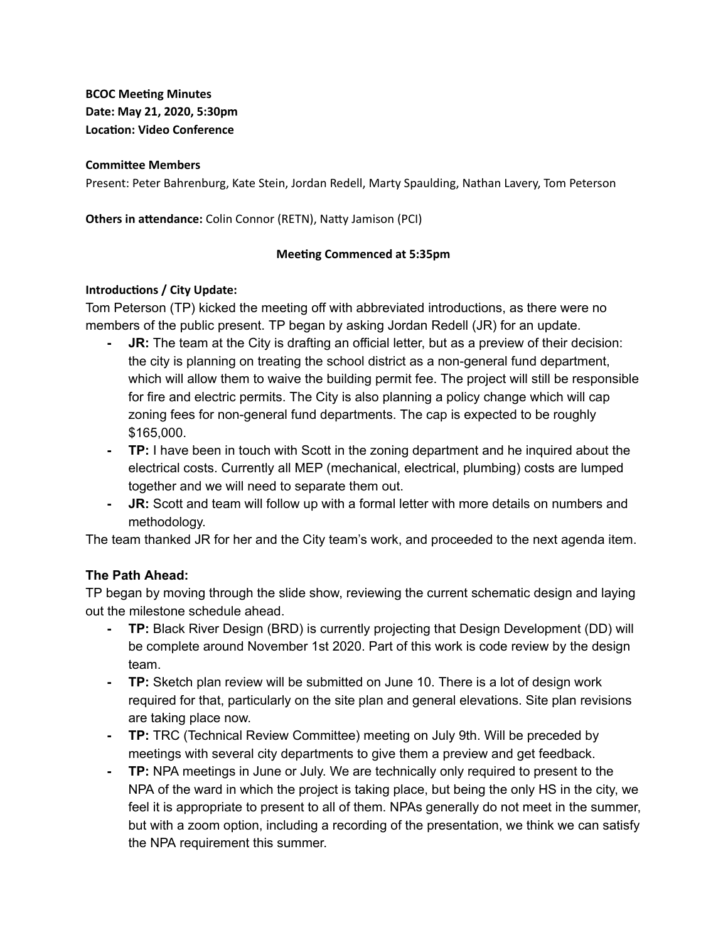**BCOC** Meeting Minutes **Date: May 21, 2020, 5:30pm Location: Video Conference** 

#### **Committee Members**

Present: Peter Bahrenburg, Kate Stein, Jordan Redell, Marty Spaulding, Nathan Lavery, Tom Peterson

**Others in attendance:** Colin Connor (RETN), Natty Jamison (PCI)

### **Meeting Commenced at 5:35pm**

### **Introductions / City Update:**

Tom Peterson (TP) kicked the meeting off with abbreviated introductions, as there were no members of the public present. TP began by asking Jordan Redell (JR) for an update.

- **JR:** The team at the City is drafting an official letter, but as a preview of their decision: the city is planning on treating the school district as a non-general fund department, which will allow them to waive the building permit fee. The project will still be responsible for fire and electric permits. The City is also planning a policy change which will cap zoning fees for non-general fund departments. The cap is expected to be roughly \$165,000.
- **- TP:** I have been in touch with Scott in the zoning department and he inquired about the electrical costs. Currently all MEP (mechanical, electrical, plumbing) costs are lumped together and we will need to separate them out.
- **- JR:** Scott and team will follow up with a formal letter with more details on numbers and methodology.

The team thanked JR for her and the City team's work, and proceeded to the next agenda item.

## **The Path Ahead:**

TP began by moving through the slide show, reviewing the current schematic design and laying out the milestone schedule ahead.

- **- TP:** Black River Design (BRD) is currently projecting that Design Development (DD) will be complete around November 1st 2020. Part of this work is code review by the design team.
- **- TP:** Sketch plan review will be submitted on June 10. There is a lot of design work required for that, particularly on the site plan and general elevations. Site plan revisions are taking place now.
- **- TP:** TRC (Technical Review Committee) meeting on July 9th. Will be preceded by meetings with several city departments to give them a preview and get feedback.
- **- TP:** NPA meetings in June or July. We are technically only required to present to the NPA of the ward in which the project is taking place, but being the only HS in the city, we feel it is appropriate to present to all of them. NPAs generally do not meet in the summer, but with a zoom option, including a recording of the presentation, we think we can satisfy the NPA requirement this summer.